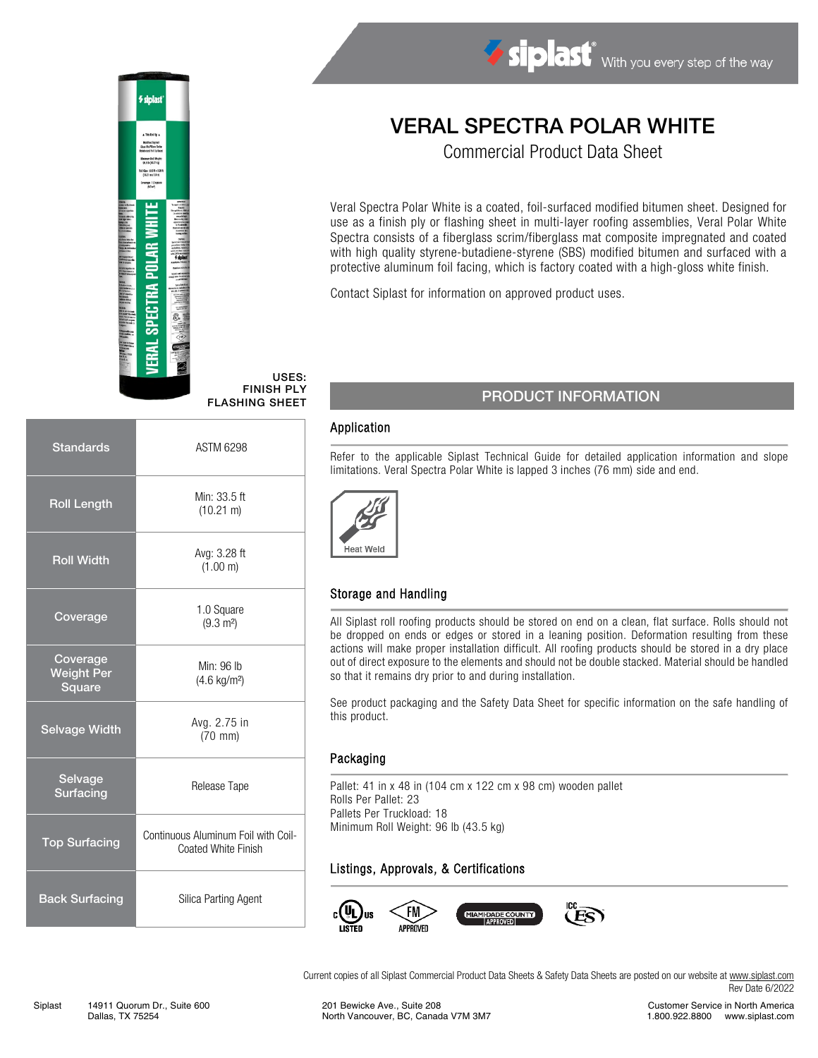# Modified Jupitelt<br>Glues Mulfillass Scrit Mainum Roll Migh<br>963 lb (4277 kg) 150m 355 1732<br>(1221 m x 1.0 m) espr. 1.0 SPECTRA POLAR WH

#### USES: FINISH PLY

| <b>Standards</b>                        | <b>ASTM 6298</b>                                           |  |
|-----------------------------------------|------------------------------------------------------------|--|
| <b>Roll Length</b>                      | Min: 33.5 ft<br>$(10.21 \text{ m})$                        |  |
| <b>Roll Width</b>                       | Avg: 3.28 ft<br>(1.00 m)                                   |  |
| Coverage                                | 1.0 Square<br>$(9.3 \text{ m}^2)$                          |  |
| Coverage<br><b>Weight Per</b><br>Square | Min: 96 lb<br>$(4.6 \text{ kg/m}^2)$                       |  |
| <b>Selvage Width</b>                    | Avg. 2.75 in<br>$(70 \text{ mm})$                          |  |
| Selvage<br><b>Surfacing</b>             | Release Tape                                               |  |
| <b>Top Surfacing</b>                    | Continuous Aluminum Foil with Coil-<br>Coated White Finish |  |
| <b>Back Surfacing</b>                   | Silica Parting Agent                                       |  |

## VERAL SPECTRA POLAR WHITE

Commercial Product Data Sheet

Veral Spectra Polar White is a coated, foil-surfaced modified bitumen sheet. Designed for use as a finish ply or flashing sheet in multi-layer roofing assemblies, Veral Polar White Spectra consists of a fiberglass scrim/fiberglass mat composite impregnated and coated with high quality styrene-butadiene-styrene (SBS) modified bitumen and surfaced with a protective aluminum foil facing, which is factory coated with a high-gloss white finish.

Contact Siplast for information on approved product uses.

### FINISH PLY<br>FLASHING SHEET PRODUCT INFORMATION

#### Application

Refer to the applicable Siplast Technical Guide for detailed application information and slope limitations. Veral Spectra Polar White is lapped 3 inches (76 mm) side and end.



#### Storage and Handling

All Siplast roll roofing products should be stored on end on a clean, flat surface. Rolls should not be dropped on ends or edges or stored in a leaning position. Deformation resulting from these actions will make proper installation difficult. All roofing products should be stored in a dry place out of direct exposure to the elements and should not be double stacked. Material should be handled so that it remains dry prior to and during installation.

See product packaging and the Safety Data Sheet for specific information on the safe handling of this product.

#### Packaging

Pallet: 41 in x 48 in (104 cm x 122 cm x 98 cm) wooden pallet Rolls Per Pallet: 23 Pallets Per Truckload: 18 Minimum Roll Weight: 96 lb (43.5 kg)

#### Listings, Approvals, & Certifications



Current copies of all Siplast Commercial Product Data Sheets & Safety Data Sheets are posted on our website a[t www.siplast.com](http://www.siplast.com/) Rev Date 6/2022